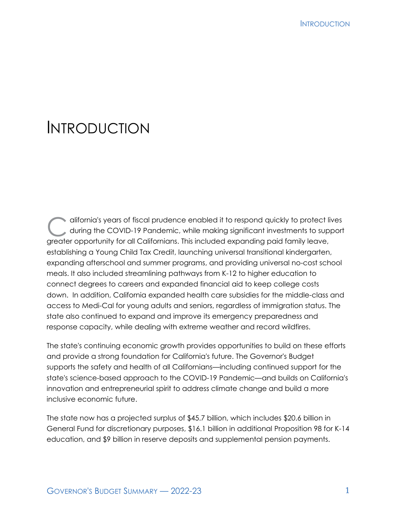# INTRODUCTION

difornia's years of fiscal prudence enabled it to respond quickly to protect lives<br>during the COVID-19 Pandemic, while making significant investments to support during the COVID-19 Pandemic, while making significant investments to support greater opportunity for all Californians. This included expanding paid family leave, establishing a Young Child Tax Credit, launching universal transitional kindergarten, expanding afterschool and summer programs, and providing universal no-cost school meals. It also included streamlining pathways from K-12 to higher education to connect degrees to careers and expanded financial aid to keep college costs down. In addition, California expanded health care subsidies for the middle-class and access to Medi-Cal for young adults and seniors, regardless of immigration status. The state also continued to expand and improve its emergency preparedness and response capacity, while dealing with extreme weather and record wildfires.

The state's continuing economic growth provides opportunities to build on these efforts and provide a strong foundation for California's future. The Governor's Budget supports the safety and health of all Californians—including continued support for the state's science-based approach to the COVID-19 Pandemic—and builds on California's innovation and entrepreneurial spirit to address climate change and build a more inclusive economic future.

The state now has a projected surplus of \$45.7 billion, which includes \$20.6 billion in General Fund for discretionary purposes, \$16.1 billion in additional Proposition 98 for K-14 education, and \$9 billion in reserve deposits and supplemental pension payments.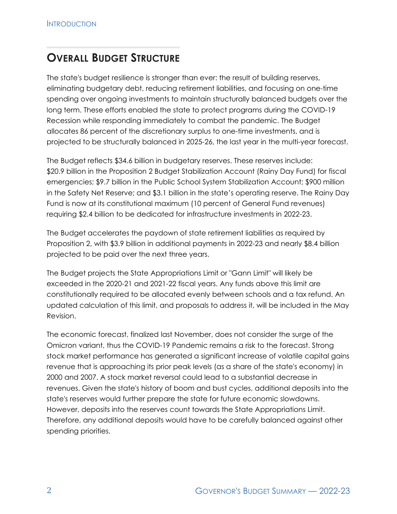## **OVERALL BUDGET STRUCTURE**

The state's budget resilience is stronger than ever: the result of building reserves, eliminating budgetary debt, reducing retirement liabilities, and focusing on one-time spending over ongoing investments to maintain structurally balanced budgets over the long term. These efforts enabled the state to protect programs during the COVID-19 Recession while responding immediately to combat the pandemic. The Budget allocates 86 percent of the discretionary surplus to one-time investments, and is projected to be structurally balanced in 2025-26, the last year in the multi-year forecast.

The Budget reflects \$34.6 billion in budgetary reserves. These reserves include: \$20.9 billion in the Proposition 2 Budget Stabilization Account (Rainy Day Fund) for fiscal emergencies; \$9.7 billion in the Public School System Stabilization Account; \$900 million in the Safety Net Reserve; and \$3.1 billion in the state's operating reserve. The Rainy Day Fund is now at its constitutional maximum (10 percent of General Fund revenues) requiring \$2.4 billion to be dedicated for infrastructure investments in 2022-23.

The Budget accelerates the paydown of state retirement liabilities as required by Proposition 2, with \$3.9 billion in additional payments in 2022-23 and nearly \$8.4 billion projected to be paid over the next three years.

The Budget projects the State Appropriations Limit or "Gann Limit" will likely be exceeded in the 2020-21 and 2021-22 fiscal years. Any funds above this limit are constitutionally required to be allocated evenly between schools and a tax refund. An updated calculation of this limit, and proposals to address it, will be included in the May Revision.

The economic forecast, finalized last November, does not consider the surge of the Omicron variant, thus the COVID-19 Pandemic remains a risk to the forecast. Strong stock market performance has generated a significant increase of volatile capital gains revenue that is approaching its prior peak levels (as a share of the state's economy) in 2000 and 2007. A stock market reversal could lead to a substantial decrease in revenues. Given the state's history of boom and bust cycles, additional deposits into the state's reserves would further prepare the state for future economic slowdowns. However, deposits into the reserves count towards the State Appropriations Limit. Therefore, any additional deposits would have to be carefully balanced against other spending priorities.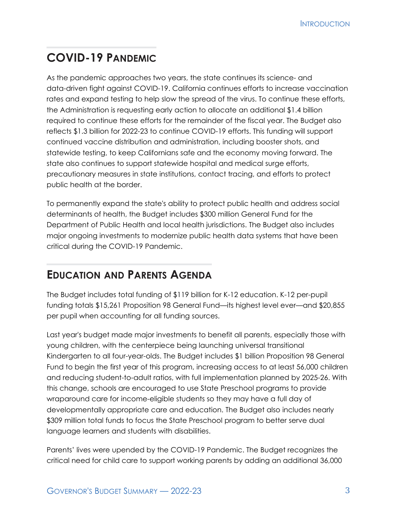## **COVID-19 PANDEMIC**

As the pandemic approaches two years, the state continues its science- and data-driven fight against COVID-19. California continues efforts to increase vaccination rates and expand testing to help slow the spread of the virus. To continue these efforts, the Administration is requesting early action to allocate an additional \$1.4 billion required to continue these efforts for the remainder of the fiscal year. The Budget also reflects \$1.3 billion for 2022-23 to continue COVID-19 efforts. This funding will support continued vaccine distribution and administration, including booster shots, and statewide testing, to keep Californians safe and the economy moving forward. The state also continues to support statewide hospital and medical surge efforts, precautionary measures in state institutions, contact tracing, and efforts to protect public health at the border.

To permanently expand the state's ability to protect public health and address social determinants of health, the Budget includes \$300 million General Fund for the Department of Public Health and local health jurisdictions. The Budget also includes major ongoing investments to modernize public health data systems that have been critical during the COVID-19 Pandemic.

## **EDUCATION AND PARENTS AGENDA**

The Budget includes total funding of \$119 billion for K-12 education. K-12 per-pupil funding totals \$15,261 Proposition 98 General Fund—its highest level ever—and \$20,855 per pupil when accounting for all funding sources.

Last year's budget made major investments to benefit all parents, especially those with young children, with the centerpiece being launching universal transitional Kindergarten to all four-year-olds. The Budget includes \$1 billion Proposition 98 General Fund to begin the first year of this program, increasing access to at least 56,000 children and reducing student-to-adult ratios, with full implementation planned by 2025-26. With this change, schools are encouraged to use State Preschool programs to provide wraparound care for income-eligible students so they may have a full day of developmentally appropriate care and education. The Budget also includes nearly \$309 million total funds to focus the State Preschool program to better serve dual language learners and students with disabilities.

Parents' lives were upended by the COVID-19 Pandemic. The Budget recognizes the critical need for child care to support working parents by adding an additional 36,000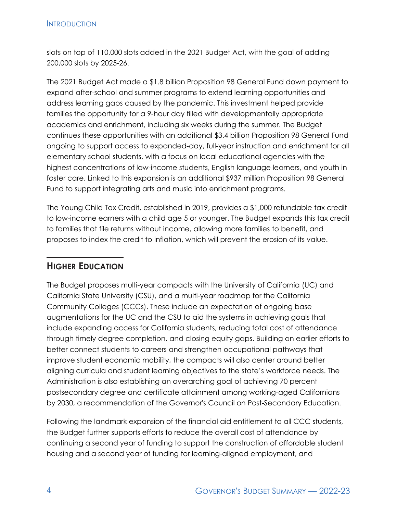slots on top of 110,000 slots added in the 2021 Budget Act, with the goal of adding 200,000 slots by 2025-26.

The 2021 Budget Act made a \$1.8 billion Proposition 98 General Fund down payment to expand after-school and summer programs to extend learning opportunities and address learning gaps caused by the pandemic. This investment helped provide families the opportunity for a 9-hour day filled with developmentally appropriate academics and enrichment, including six weeks during the summer. The Budget continues these opportunities with an additional \$3.4 billion Proposition 98 General Fund ongoing to support access to expanded-day, full-year instruction and enrichment for all elementary school students, with a focus on local educational agencies with the highest concentrations of low-income students, English language learners, and youth in foster care. Linked to this expansion is an additional \$937 million Proposition 98 General Fund to support integrating arts and music into enrichment programs.

The Young Child Tax Credit, established in 2019, provides a \$1,000 refundable tax credit to low-income earners with a child age 5 or younger. The Budget expands this tax credit to families that file returns without income, allowing more families to benefit, and proposes to index the credit to inflation, which will prevent the erosion of its value.

#### **HIGHER EDUCATION**

The Budget proposes multi-year compacts with the University of California (UC) and California State University (CSU), and a multi-year roadmap for the California Community Colleges (CCCs). These include an expectation of ongoing base augmentations for the UC and the CSU to aid the systems in achieving goals that include expanding access for California students, reducing total cost of attendance through timely degree completion, and closing equity gaps. Building on earlier efforts to better connect students to careers and strengthen occupational pathways that improve student economic mobility, the compacts will also center around better aligning curricula and student learning objectives to the state's workforce needs. The Administration is also establishing an overarching goal of achieving 70 percent postsecondary degree and certificate attainment among working-aged Californians by 2030, a recommendation of the Governor's Council on Post-Secondary Education.

Following the landmark expansion of the financial aid entitlement to all CCC students, the Budget further supports efforts to reduce the overall cost of attendance by continuing a second year of funding to support the construction of affordable student housing and a second year of funding for learning-aligned employment, and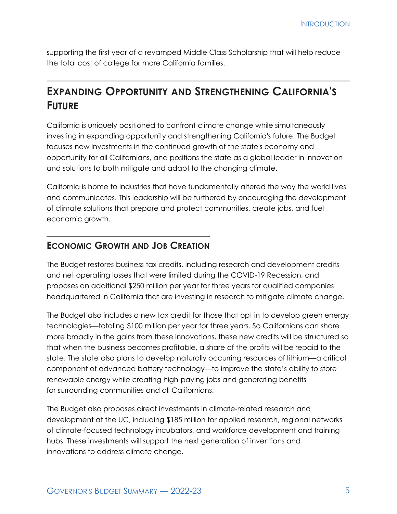supporting the first year of a revamped Middle Class Scholarship that will help reduce the total cost of college for more California families.

## **EXPANDING OPPORTUNITY AND STRENGTHENING CALIFORNIA'S FUTURE**

California is uniquely positioned to confront climate change while simultaneously investing in expanding opportunity and strengthening California's future. The Budget focuses new investments in the continued growth of the state's economy and opportunity for all Californians, and positions the state as a global leader in innovation and solutions to both mitigate and adapt to the changing climate.

California is home to industries that have fundamentally altered the way the world lives and communicates. This leadership will be furthered by encouraging the development of climate solutions that prepare and protect communities, create jobs, and fuel economic growth.

#### **ECONOMIC GROWTH AND JOB CREATION**

The Budget restores business tax credits, including research and development credits and net operating losses that were limited during the COVID-19 Recession, and proposes an additional \$250 million per year for three years for qualified companies headquartered in California that are investing in research to mitigate climate change.

The Budget also includes a new tax credit for those that opt in to develop green energy technologies—totaling \$100 million per year for three years. So Californians can share more broadly in the gains from these innovations, these new credits will be structured so that when the business becomes profitable, a share of the profits will be repaid to the state. The state also plans to develop naturally occurring resources of lithium—a critical component of advanced battery technology—to improve the state's ability to store renewable energy while creating high-paying jobs and generating benefits for surrounding communities and all Californians.

The Budget also proposes direct investments in climate-related research and development at the UC, including \$185 million for applied research, regional networks of climate-focused technology incubators, and workforce development and training hubs. These investments will support the next generation of inventions and innovations to address climate change.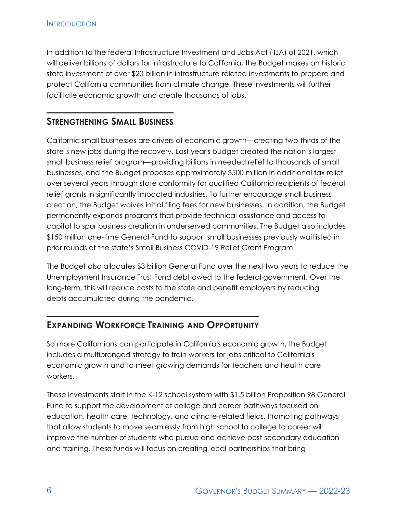In addition to the federal Infrastructure Investment and Jobs Act (IIJA) of 2021, which will deliver billions of dollars for infrastructure to California, the Budget makes an historic state investment of over \$20 billion in infrastructure-related investments to prepare and protect California communities from climate change. These investments will further facilitate economic growth and create thousands of jobs.

#### **STRENGTHENING SMALL BUSINESS**

California small businesses are drivers of economic growth—creating two-thirds of the state's new jobs during the recovery. Last year's budget created the nation's largest small business relief program—providing billions in needed relief to thousands of small businesses, and the Budget proposes approximately \$500 million in additional tax relief over several years through state conformity for qualified California recipients of federal relief grants in significantly impacted industries. To further encourage small business creation, the Budget waives initial filing fees for new businesses. In addition, the Budget permanently expands programs that provide technical assistance and access to capital to spur business creation in underserved communities. The Budget also includes \$150 million one-time General Fund to support small businesses previously waitlisted in prior rounds of the state's Small Business COVID-19 Relief Grant Program.

The Budget also allocates \$3 billion General Fund over the next two years to reduce the Unemployment Insurance Trust Fund debt owed to the federal government. Over the long-term, this will reduce costs to the state and benefit employers by reducing debts accumulated during the pandemic.

### **EXPANDING WORKFORCE TRAINING AND OPPORTUNITY**

So more Californians can participate in California's economic growth, the Budget includes a multipronged strategy to train workers for jobs critical to California's economic growth and to meet growing demands for teachers and health care workers.

These investments start in the K-12 school system with \$1.5 billion Proposition 98 General Fund to support the development of college and career pathways focused on education, health care, technology, and climate-related fields. Promoting pathways that allow students to move seamlessly from high school to college to career will improve the number of students who pursue and achieve post-secondary education and training. These funds will focus on creating local partnerships that bring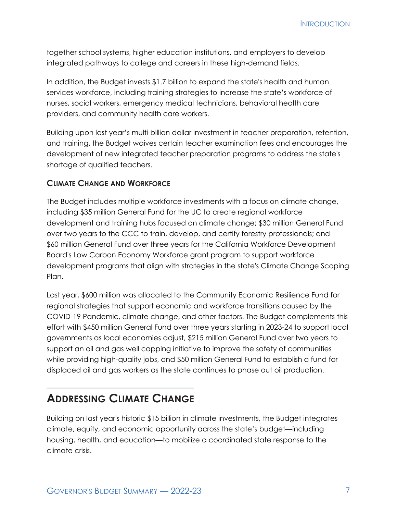together school systems, higher education institutions, and employers to develop integrated pathways to college and careers in these high-demand fields.

In addition, the Budget invests \$1.7 billion to expand the state's health and human services workforce, including training strategies to increase the state's workforce of nurses, social workers, emergency medical technicians, behavioral health care providers, and community health care workers.

Building upon last year's multi-billion dollar investment in teacher preparation, retention, and training, the Budget waives certain teacher examination fees and encourages the development of new integrated teacher preparation programs to address the state's shortage of qualified teachers.

#### **CLIMATE CHANGE AND WORKFORCE**

The Budget includes multiple workforce investments with a focus on climate change, including \$35 million General Fund for the UC to create regional workforce development and training hubs focused on climate change; \$30 million General Fund over two years to the CCC to train, develop, and certify forestry professionals; and \$60 million General Fund over three years for the California Workforce Development Board's Low Carbon Economy Workforce grant program to support workforce development programs that align with strategies in the state's Climate Change Scoping Plan.

Last year, \$600 million was allocated to the Community Economic Resilience Fund for regional strategies that support economic and workforce transitions caused by the COVID-19 Pandemic, climate change, and other factors. The Budget complements this effort with \$450 million General Fund over three years starting in 2023-24 to support local governments as local economies adjust, \$215 million General Fund over two years to support an oil and gas well capping initiative to improve the safety of communities while providing high-quality jobs, and \$50 million General Fund to establish a fund for displaced oil and gas workers as the state continues to phase out oil production.

### **ADDRESSING CLIMATE CHANGE**

Building on last year's historic \$15 billion in climate investments, the Budget integrates climate, equity, and economic opportunity across the state's budget—including housing, health, and education—to mobilize a coordinated state response to the climate crisis.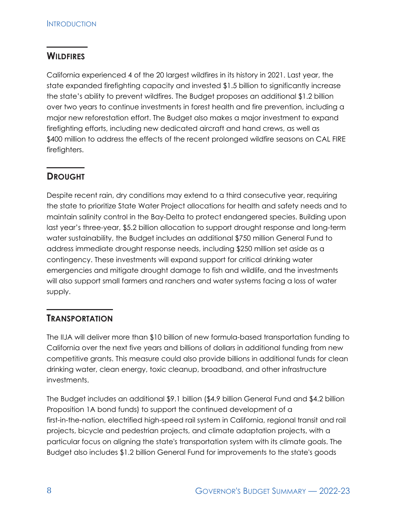#### **WILDFIRES**

California experienced 4 of the 20 largest wildfires in its history in 2021. Last year, the state expanded firefighting capacity and invested \$1.5 billion to significantly increase the state's ability to prevent wildfires. The Budget proposes an additional \$1.2 billion over two years to continue investments in forest health and fire prevention, including a major new reforestation effort. The Budget also makes a major investment to expand firefighting efforts, including new dedicated aircraft and hand crews, as well as \$400 million to address the effects of the recent prolonged wildfire seasons on CAL FIRE firefighters.

### **DROUGHT**

Despite recent rain, dry conditions may extend to a third consecutive year, requiring the state to prioritize State Water Project allocations for health and safety needs and to maintain salinity control in the Bay-Delta to protect endangered species. Building upon last year's three-year, \$5.2 billion allocation to support drought response and long-term water sustainability, the Budget includes an additional \$750 million General Fund to address immediate drought response needs, including \$250 million set aside as a contingency. These investments will expand support for critical drinking water emergencies and mitigate drought damage to fish and wildlife, and the investments will also support small farmers and ranchers and water systems facing a loss of water supply.

### **TRANSPORTATION**

The IIJA will deliver more than \$10 billion of new formula-based transportation funding to California over the next five years and billions of dollars in additional funding from new competitive grants. This measure could also provide billions in additional funds for clean drinking water, clean energy, toxic cleanup, broadband, and other infrastructure investments.

The Budget includes an additional \$9.1 billion (\$4.9 billion General Fund and \$4.2 billion Proposition 1A bond funds) to support the continued development of a first-in-the-nation, electrified high-speed rail system in California, regional transit and rail projects, bicycle and pedestrian projects, and climate adaptation projects, with a particular focus on aligning the state's transportation system with its climate goals. The Budget also includes \$1.2 billion General Fund for improvements to the state's goods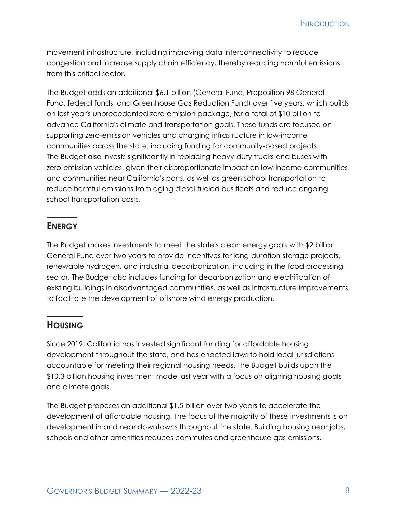**INTRODUCTION** 

movement infrastructure, including improving data interconnectivity to reduce congestion and increase supply chain efficiency, thereby reducing harmful emissions from this critical sector.

The Budget adds an additional \$6.1 billion (General Fund, Proposition 98 General Fund, federal funds, and Greenhouse Gas Reduction Fund) over five years, which builds on last year's unprecedented zero-emission package, for a total of \$10 billion to advance California's climate and transportation goals. These funds are focused on supporting zero-emission vehicles and charging infrastructure in low-income communities across the state, including funding for community-based projects. The Budget also invests significantly in replacing heavy-duty trucks and buses with zero-emission vehicles, given their disproportionate impact on low-income communities and communities near California's ports, as well as green school transportation to reduce harmful emissions from aging diesel-fueled bus fleets and reduce ongoing school transportation costs.

#### **ENERGY**

The Budget makes investments to meet the state's clean energy goals with \$2 billion General Fund over two years to provide incentives for long-duration-storage projects, renewable hydrogen, and industrial decarbonization, including in the food processing sector. The Budget also includes funding for decarbonization and electrification of existing buildings in disadvantaged communities, as well as infrastructure improvements to facilitate the development of offshore wind energy production.

#### **HOUSING**

Since 2019, California has invested significant funding for affordable housing development throughout the state, and has enacted laws to hold local jurisdictions accountable for meeting their regional housing needs. The Budget builds upon the \$10.3 billion housing investment made last year with a focus on aligning housing goals and climate goals.

The Budget proposes an additional \$1.5 billion over two years to accelerate the development of affordable housing. The focus of the majority of these investments is on development in and near downtowns throughout the state. Building housing near jobs, schools and other amenities reduces commutes and greenhouse gas emissions.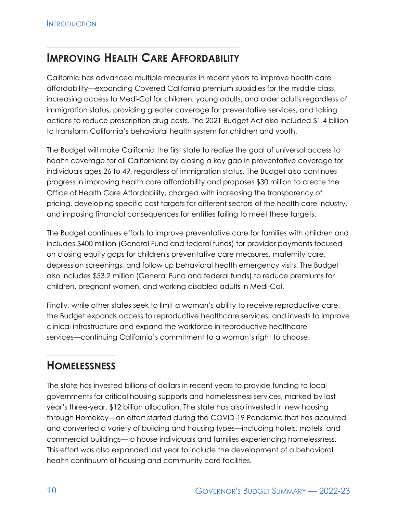## **IMPROVING HEALTH CARE AFFORDABILITY**

California has advanced multiple measures in recent years to improve health care affordability—expanding Covered California premium subsidies for the middle class, increasing access to Medi-Cal for children, young adults, and older adults regardless of immigration status, providing greater coverage for preventative services, and taking actions to reduce prescription drug costs. The 2021 Budget Act also included \$1.4 billion to transform California's behavioral health system for children and youth.

The Budget will make California the first state to realize the goal of universal access to health coverage for all Californians by closing a key gap in preventative coverage for individuals ages 26 to 49, regardless of immigration status. The Budget also continues progress in improving health care affordability and proposes \$30 million to create the Office of Health Care Affordability, charged with increasing the transparency of pricing, developing specific cost targets for different sectors of the health care industry, and imposing financial consequences for entities failing to meet these targets.

The Budget continues efforts to improve preventative care for families with children and includes \$400 million (General Fund and federal funds) for provider payments focused on closing equity gaps for children's preventative care measures, maternity care, depression screenings, and follow up behavioral health emergency visits. The Budget also includes \$53.2 million (General Fund and federal funds) to reduce premiums for children, pregnant women, and working disabled adults in Medi-Cal.

Finally, while other states seek to limit a woman's ability to receive reproductive care, the Budget expands access to reproductive healthcare services, and invests to improve clinical infrastructure and expand the workforce in reproductive healthcare services—continuing California's commitment to a woman's right to choose.

## **HOMELESSNESS**

The state has invested billions of dollars in recent years to provide funding to local governments for critical housing supports and homelessness services, marked by last year's three-year, \$12 billion allocation. The state has also invested in new housing through Homekey—an effort started during the COVID-19 Pandemic that has acquired and converted a variety of building and housing types—including hotels, motels, and commercial buildings—to house individuals and families experiencing homelessness. This effort was also expanded last year to include the development of a behavioral health continuum of housing and community care facilities.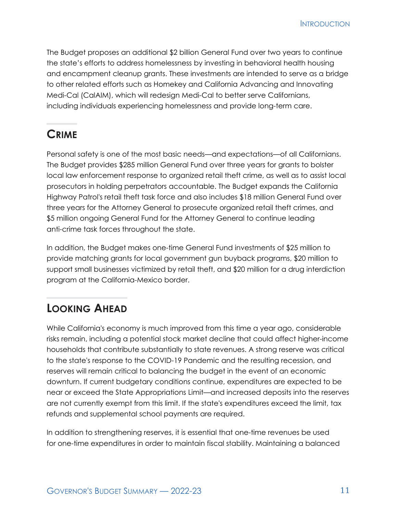**INTRODUCTION** 

The Budget proposes an additional \$2 billion General Fund over two years to continue the state's efforts to address homelessness by investing in behavioral health housing and encampment cleanup grants. These investments are intended to serve as a bridge to other related efforts such as Homekey and California Advancing and Innovating Medi-Cal (CalAIM), which will redesign Medi-Cal to better serve Californians, including individuals experiencing homelessness and provide long-term care.

## **CRIME**

Personal safety is one of the most basic needs—and expectations—of all Californians. The Budget provides \$285 million General Fund over three years for grants to bolster local law enforcement response to organized retail theft crime, as well as to assist local prosecutors in holding perpetrators accountable. The Budget expands the California Highway Patrol's retail theft task force and also includes \$18 million General Fund over three years for the Attorney General to prosecute organized retail theft crimes, and \$5 million ongoing General Fund for the Attorney General to continue leading anti-crime task forces throughout the state.

In addition, the Budget makes one-time General Fund investments of \$25 million to provide matching grants for local government gun buyback programs, \$20 million to support small businesses victimized by retail theft, and \$20 million for a drug interdiction program at the California-Mexico border.

## **LOOKING AHEAD**

While California's economy is much improved from this time a year ago, considerable risks remain, including a potential stock market decline that could affect higher-income households that contribute substantially to state revenues. A strong reserve was critical to the state's response to the COVID-19 Pandemic and the resulting recession, and reserves will remain critical to balancing the budget in the event of an economic downturn. If current budgetary conditions continue, expenditures are expected to be near or exceed the State Appropriations Limit—and increased deposits into the reserves are not currently exempt from this limit. If the state's expenditures exceed the limit, tax refunds and supplemental school payments are required.

In addition to strengthening reserves, it is essential that one-time revenues be used for one-time expenditures in order to maintain fiscal stability. Maintaining a balanced